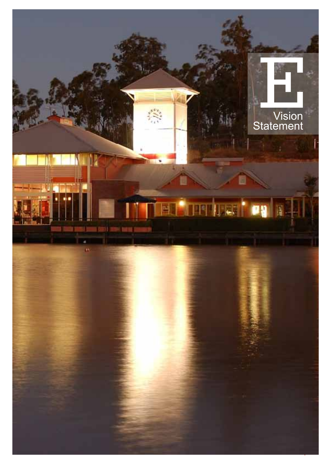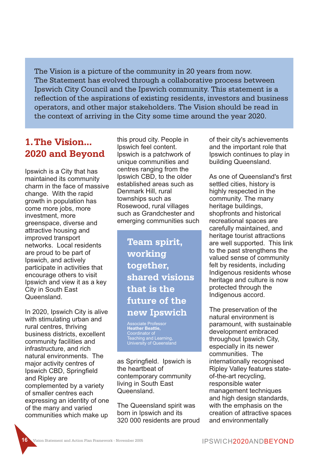The Vision is a picture of the community in 20 years from now. The Statement has evolved through a collaborative process between Ipswich City Council and the Ipswich community. This statement is a reflection of the aspirations of existing residents, investors and business operators, and other major stakeholders. The Vision should be read in the context of arriving in the City some time around the year 2020.

# **1.The Vision... 2020 and Beyond**

Ipswich is a City that has maintained its community charm in the face of massive change. With the rapid growth in population has come more jobs, more investment, more greenspace, diverse and attractive housing and improved transport networks. Local residents are proud to be part of Ipswich, and actively participate in activities that encourage others to visit Ipswich and view it as a key City in South East Queensland.

In 2020, Ipswich City is alive with stimulating urban and rural centres, thriving business districts, excellent community facilities and infrastructure, and rich natural environments. The major activity centres of Ipswich CBD, Springfield and Ripley are complemented by a variety of smaller centres each expressing an identity of one of the many and varied communities which make up

this proud city. People in Ipswich feel content. Ipswich is a patchwork of unique communities and centres ranging from the Ipswich CBD, to the older established areas such as Denmark Hill, rural townships such as Rosewood, rural villages such as Grandchester and emerging communities such

> **Team spirit, working together, shared visions that is the future of the new Ipswich**

**Heather Beattie,** Coordinator of Teaching and Learning, University of Queensland

as Springfield. Ipswich is the heartbeat of contemporary community living in South East Queensland.

The Queensland spirit was born in Ipswich and its 320 000 residents are proud of their city's achievements and the important role that Ipswich continues to play in building Queensland.

As one of Queensland's first settled cities, history is highly respected in the community. The many heritage buildings, shopfronts and historical recreational spaces are carefully maintained, and heritage tourist attractions are well supported. This link to the past strengthens the valued sense of community felt by residents, including Indigenous residents whose heritage and culture is now protected through the Indigenous accord.

The preservation of the natural environment is paramount, with sustainable development embraced throughout Ipswich City, especially in its newer communities. The internationally recognised Ripley Valley features stateof-the-art recycling, responsible water management techniques and high design standards, with the emphasis on the creation of attractive spaces and environmentally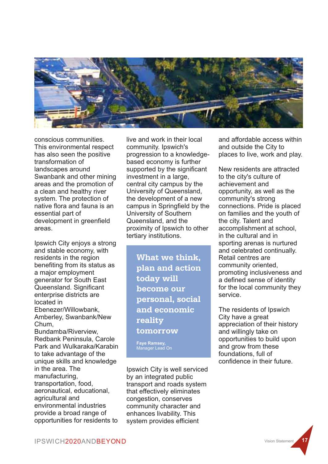

conscious communities. This environmental respect has also seen the positive transformation of landscapes around Swanbank and other mining areas and the promotion of a clean and healthy river system. The protection of native flora and fauna is an essential part of development in greenfield areas.

Ipswich City enjoys a strong and stable economy, with residents in the region benefiting from its status as a major employment generator for South East Queensland. Significant enterprise districts are located in Ebenezer/Willowbank, Amberley, Swanbank/New Chum, Bundamba/Riverview, Redbank Peninsula, Carole Park and Wulkaraka/Karabin to take advantage of the unique skills and knowledge in the area. The manufacturing, transportation, food, aeronautical, educational, agricultural and environmental industries provide a broad range of opportunities for residents to

live and work in their local community. Ipswich's progression to a knowledgebased economy is further supported by the significant investment in a large, central city campus by the University of Queensland, the development of a new campus in Springfield by the University of Southern Queensland, and the proximity of Ipswich to other tertiary institutions.

> **What we think, plan and action today will become our personal, social and economic reality tomorrow**

**Faye Ramsey,** Manager Lead On

Ipswich City is well serviced by an integrated public transport and roads system that effectively eliminates congestion, conserves community character and enhances livability. This system provides efficient

and affordable access within and outside the City to places to live, work and play.

New residents are attracted to the city's culture of achievement and opportunity, as well as the community's strong connections. Pride is placed on families and the youth of the city. Talent and accomplishment at school, in the cultural and in sporting arenas is nurtured and celebrated continually. Retail centres are community oriented, promoting inclusiveness and a defined sense of identity for the local community they service.

The residents of Ipswich City have a great appreciation of their history and willingly take on opportunities to build upon and grow from these foundations, full of confidence in their future.

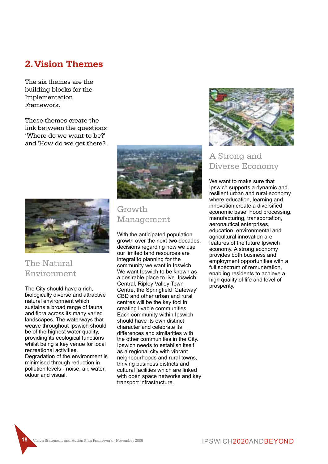### **2.Vision Themes**

The six themes are the building blocks for the Implementation Framework.

These themes create the link between the questions 'Where do we want to be?' and 'How do we get there?'.





## The Natural Environment

The City should have a rich, biologically diverse and attractive natural environment which sustains a broad range of fauna and flora across its many varied landscapes. The waterways that weave throughout Ipswich should be of the highest water quality, providing its ecological functions whilst being a key venue for local recreational activities. Degradation of the environment is minimised through reduction in pollution levels - noise, air, water, odour and visual.

#### Growth Management

With the anticipated population growth over the next two decades, decisions regarding how we use our limited land resources are integral to planning for the community we want in Ipswich. We want Ipswich to be known as a desirable place to live. Ipswich Central, Ripley Valley Town Centre, the Springfield 'Gateway' CBD and other urban and rural centres will be the key foci in creating livable communities. Each community within Ipswich should have its own distinct character and celebrate its differences and similarities with the other communities in the City. Ipswich needs to establish itself as a regional city with vibrant neighbourhoods and rural towns, thriving business districts and cultural facilities which are linked with open space networks and key transport infrastructure.



#### A Strong and Diverse Economy

We want to make sure that Ipswich supports a dynamic and resilient urban and rural economy where education, learning and innovation create a diversified economic base. Food processing, manufacturing, transportation, aeronautical enterprises, education, environmental and agricultural innovation are features of the future Ipswich economy. A strong economy provides both business and employment opportunities with a full spectrum of remuneration, enabling residents to achieve a high quality of life and level of prosperity.